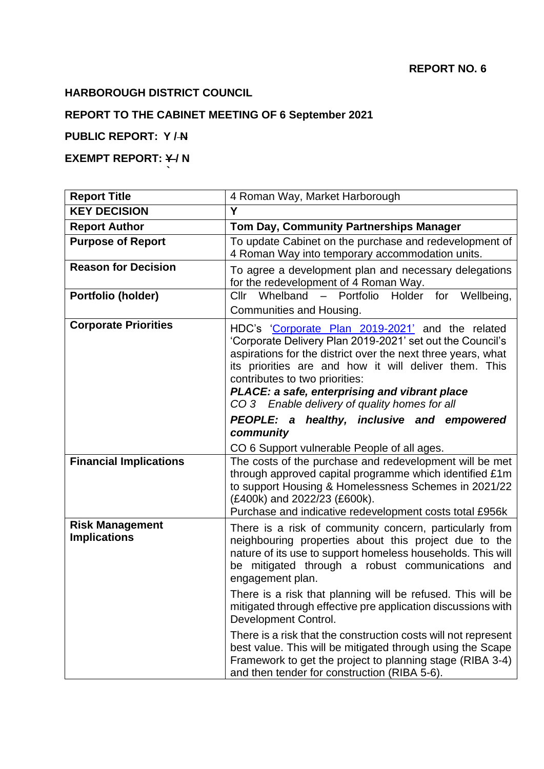## **HARBOROUGH DISTRICT COUNCIL**

**`**

### **REPORT TO THE CABINET MEETING OF 6 September 2021**

# **PUBLIC REPORT: Y / N**

# **EXEMPT REPORT: ¥/N**

| <b>Report Title</b>                           | 4 Roman Way, Market Harborough                                                                                                                                                                                                                                                                                                                                             |  |  |
|-----------------------------------------------|----------------------------------------------------------------------------------------------------------------------------------------------------------------------------------------------------------------------------------------------------------------------------------------------------------------------------------------------------------------------------|--|--|
| <b>KEY DECISION</b>                           | Y                                                                                                                                                                                                                                                                                                                                                                          |  |  |
| <b>Report Author</b>                          | Tom Day, Community Partnerships Manager                                                                                                                                                                                                                                                                                                                                    |  |  |
| <b>Purpose of Report</b>                      | To update Cabinet on the purchase and redevelopment of<br>4 Roman Way into temporary accommodation units.                                                                                                                                                                                                                                                                  |  |  |
| <b>Reason for Decision</b>                    | To agree a development plan and necessary delegations<br>for the redevelopment of 4 Roman Way.                                                                                                                                                                                                                                                                             |  |  |
| Portfolio (holder)                            | Cllr Whelband - Portfolio Holder for Wellbeing,                                                                                                                                                                                                                                                                                                                            |  |  |
|                                               | Communities and Housing.                                                                                                                                                                                                                                                                                                                                                   |  |  |
| <b>Corporate Priorities</b>                   | HDC's 'Corporate Plan 2019-2021' and the related<br>'Corporate Delivery Plan 2019-2021' set out the Council's<br>aspirations for the district over the next three years, what<br>its priorities are and how it will deliver them. This<br>contributes to two priorities:<br>PLACE: a safe, enterprising and vibrant place<br>CO 3 Enable delivery of quality homes for all |  |  |
|                                               | PEOPLE: a healthy, inclusive and empowered<br>community                                                                                                                                                                                                                                                                                                                    |  |  |
|                                               | CO 6 Support vulnerable People of all ages.                                                                                                                                                                                                                                                                                                                                |  |  |
| <b>Financial Implications</b>                 | The costs of the purchase and redevelopment will be met<br>through approved capital programme which identified £1m<br>to support Housing & Homelessness Schemes in 2021/22<br>(£400k) and 2022/23 (£600k).<br>Purchase and indicative redevelopment costs total £956k                                                                                                      |  |  |
| <b>Risk Management</b><br><b>Implications</b> | There is a risk of community concern, particularly from<br>neighbouring properties about this project due to the<br>nature of its use to support homeless households. This will<br>be mitigated through a robust communications and<br>engagement plan.                                                                                                                    |  |  |
|                                               | There is a risk that planning will be refused. This will be<br>mitigated through effective pre application discussions with<br>Development Control.                                                                                                                                                                                                                        |  |  |
|                                               | There is a risk that the construction costs will not represent<br>best value. This will be mitigated through using the Scape<br>Framework to get the project to planning stage (RIBA 3-4)<br>and then tender for construction (RIBA 5-6).                                                                                                                                  |  |  |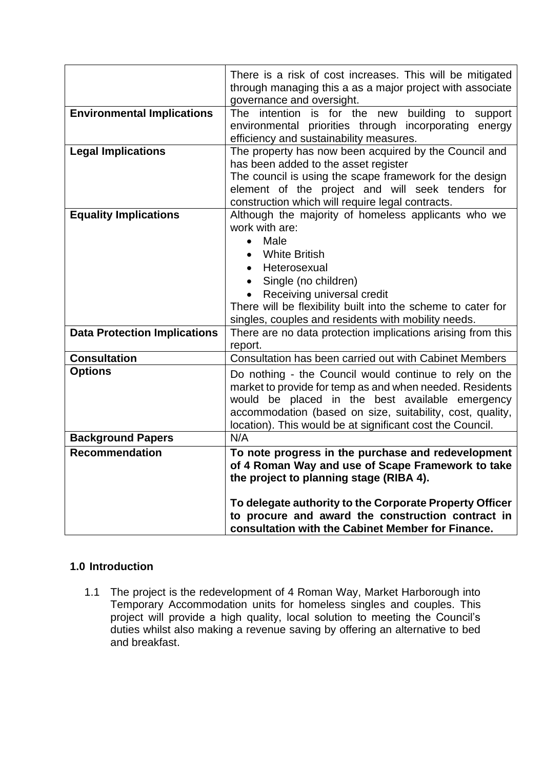|                                     | There is a risk of cost increases. This will be mitigated<br>through managing this a as a major project with associate                                                                                                                                                                                                                    |  |  |
|-------------------------------------|-------------------------------------------------------------------------------------------------------------------------------------------------------------------------------------------------------------------------------------------------------------------------------------------------------------------------------------------|--|--|
| <b>Environmental Implications</b>   | governance and oversight.<br>The intention is for the new building to<br>support<br>environmental priorities through incorporating energy<br>efficiency and sustainability measures.                                                                                                                                                      |  |  |
| <b>Legal Implications</b>           | The property has now been acquired by the Council and<br>has been added to the asset register<br>The council is using the scape framework for the design<br>element of the project and will seek tenders for<br>construction which will require legal contracts.                                                                          |  |  |
| <b>Equality Implications</b>        | Although the majority of homeless applicants who we<br>work with are:<br>Male<br>$\bullet$<br><b>White British</b><br>Heterosexual<br>$\bullet$<br>Single (no children)<br>$\bullet$<br>Receiving universal credit<br>There will be flexibility built into the scheme to cater for<br>singles, couples and residents with mobility needs. |  |  |
| <b>Data Protection Implications</b> | There are no data protection implications arising from this<br>report.                                                                                                                                                                                                                                                                    |  |  |
| <b>Consultation</b>                 | Consultation has been carried out with Cabinet Members                                                                                                                                                                                                                                                                                    |  |  |
| <b>Options</b>                      | Do nothing - the Council would continue to rely on the<br>market to provide for temp as and when needed. Residents<br>would be placed in the best available emergency<br>accommodation (based on size, suitability, cost, quality,<br>location). This would be at significant cost the Council.                                           |  |  |
| <b>Background Papers</b>            | N/A                                                                                                                                                                                                                                                                                                                                       |  |  |
| <b>Recommendation</b>               | To note progress in the purchase and redevelopment<br>of 4 Roman Way and use of Scape Framework to take<br>the project to planning stage (RIBA 4).<br>To delegate authority to the Corporate Property Officer<br>to procure and award the construction contract in<br>consultation with the Cabinet Member for Finance.                   |  |  |

#### **1.0 Introduction**

1.1 The project is the redevelopment of 4 Roman Way, Market Harborough into Temporary Accommodation units for homeless singles and couples. This project will provide a high quality, local solution to meeting the Council's duties whilst also making a revenue saving by offering an alternative to bed and breakfast.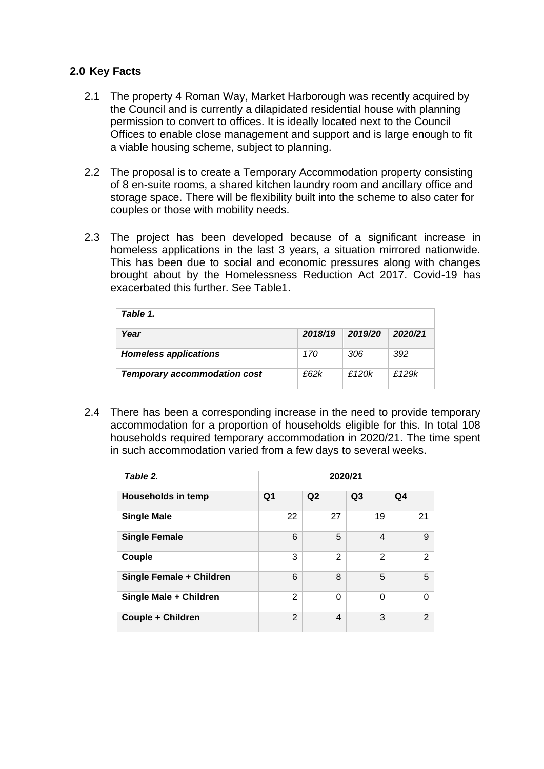#### **2.0 Key Facts**

- 2.1 The property 4 Roman Way, Market Harborough was recently acquired by the Council and is currently a dilapidated residential house with planning permission to convert to offices. It is ideally located next to the Council Offices to enable close management and support and is large enough to fit a viable housing scheme, subject to planning.
- 2.2 The proposal is to create a Temporary Accommodation property consisting of 8 en-suite rooms, a shared kitchen laundry room and ancillary office and storage space. There will be flexibility built into the scheme to also cater for couples or those with mobility needs.
- 2.3 The project has been developed because of a significant increase in homeless applications in the last 3 years, a situation mirrored nationwide. This has been due to social and economic pressures along with changes brought about by the Homelessness Reduction Act 2017. Covid-19 has exacerbated this further. See Table1.

| Table 1.                            |         |         |         |
|-------------------------------------|---------|---------|---------|
| Year                                | 2018/19 | 2019/20 | 2020/21 |
| <b>Homeless applications</b>        | 170     | 306     | 392     |
| <b>Temporary accommodation cost</b> | £62k    | £120k   | £129k   |

2.4 There has been a corresponding increase in the need to provide temporary accommodation for a proportion of households eligible for this. In total 108 households required temporary accommodation in 2020/21. The time spent in such accommodation varied from a few days to several weeks.

| Table 2.                  |                | 2020/21        |                |                |
|---------------------------|----------------|----------------|----------------|----------------|
| <b>Households in temp</b> | Q <sub>1</sub> | Q2             | Q <sub>3</sub> | Q <sub>4</sub> |
| <b>Single Male</b>        | 22             | 27             | 19             | 21             |
| <b>Single Female</b>      | 6              | 5              | 4              | 9              |
| Couple                    | 3              | $\overline{2}$ | $\overline{2}$ | 2              |
| Single Female + Children  | 6              | 8              | 5              | 5              |
| Single Male + Children    | $\overline{2}$ | 0              | $\Omega$       | $\Omega$       |
| Couple + Children         | $\mathbf{2}$   | 4              | 3              | 2              |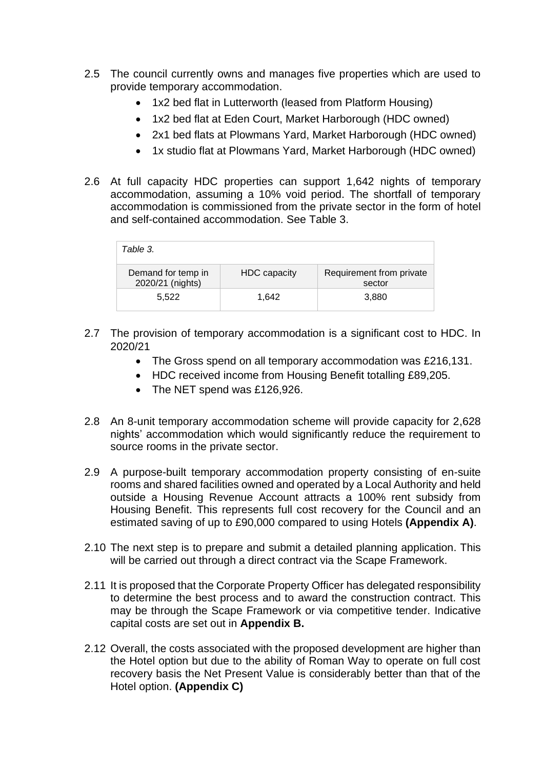- 2.5 The council currently owns and manages five properties which are used to provide temporary accommodation.
	- 1x2 bed flat in Lutterworth (leased from Platform Housing)
	- 1x2 bed flat at Eden Court, Market Harborough (HDC owned)
	- 2x1 bed flats at Plowmans Yard, Market Harborough (HDC owned)
	- 1x studio flat at Plowmans Yard, Market Harborough (HDC owned)
- 2.6 At full capacity HDC properties can support 1,642 nights of temporary accommodation, assuming a 10% void period. The shortfall of temporary accommodation is commissioned from the private sector in the form of hotel and self-contained accommodation. See Table 3.

| Table 3.                               |                     |                                    |
|----------------------------------------|---------------------|------------------------------------|
| Demand for temp in<br>2020/21 (nights) | <b>HDC</b> capacity | Requirement from private<br>sector |
| 5.522                                  | 1.642               | 3,880                              |

- 2.7 The provision of temporary accommodation is a significant cost to HDC. In 2020/21
	- The Gross spend on all temporary accommodation was £216,131.
	- HDC received income from Housing Benefit totalling £89,205.
	- The NET spend was £126,926.
- 2.8 An 8-unit temporary accommodation scheme will provide capacity for 2,628 nights' accommodation which would significantly reduce the requirement to source rooms in the private sector.
- 2.9 A purpose-built temporary accommodation property consisting of en-suite rooms and shared facilities owned and operated by a Local Authority and held outside a Housing Revenue Account attracts a 100% rent subsidy from Housing Benefit. This represents full cost recovery for the Council and an estimated saving of up to £90,000 compared to using Hotels **(Appendix A)**.
- 2.10 The next step is to prepare and submit a detailed planning application. This will be carried out through a direct contract via the Scape Framework.
- 2.11 It is proposed that the Corporate Property Officer has delegated responsibility to determine the best process and to award the construction contract. This may be through the Scape Framework or via competitive tender. Indicative capital costs are set out in **Appendix B.**
- 2.12 Overall, the costs associated with the proposed development are higher than the Hotel option but due to the ability of Roman Way to operate on full cost recovery basis the Net Present Value is considerably better than that of the Hotel option. **(Appendix C)**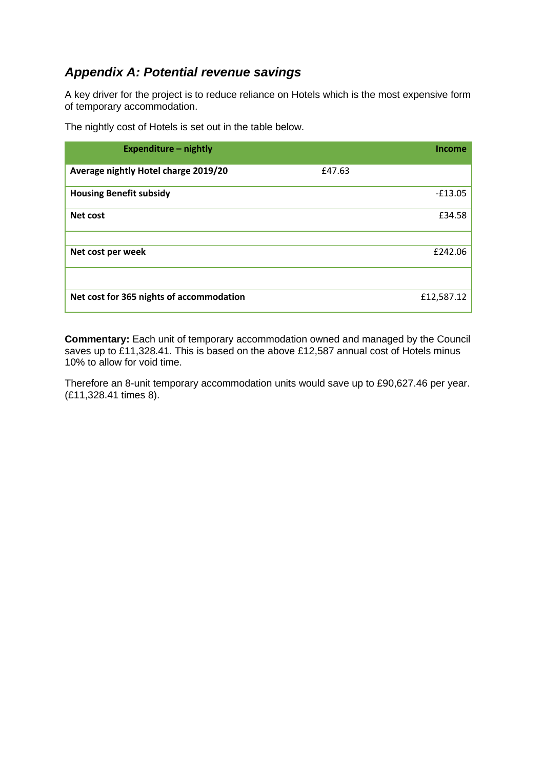# *Appendix A: Potential revenue savings*

A key driver for the project is to reduce reliance on Hotels which is the most expensive form of temporary accommodation.

| The nightly cost of Hotels is set out in the table below. |  |
|-----------------------------------------------------------|--|
|-----------------------------------------------------------|--|

| <b>Expenditure - nightly</b>             |        | Income     |
|------------------------------------------|--------|------------|
| Average nightly Hotel charge 2019/20     | £47.63 |            |
| <b>Housing Benefit subsidy</b>           |        | $-£13.05$  |
| Net cost                                 |        | £34.58     |
|                                          |        |            |
| Net cost per week                        |        | £242.06    |
|                                          |        |            |
| Net cost for 365 nights of accommodation |        | £12,587.12 |

**Commentary:** Each unit of temporary accommodation owned and managed by the Council saves up to £11,328.41. This is based on the above £12,587 annual cost of Hotels minus 10% to allow for void time.

Therefore an 8-unit temporary accommodation units would save up to £90,627.46 per year. (£11,328.41 times 8).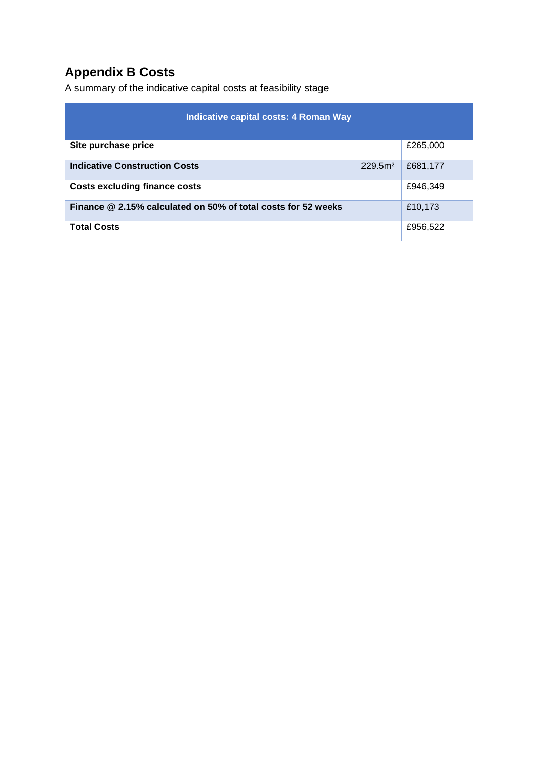# **Appendix B Costs**

A summary of the indicative capital costs at feasibility stage

| Indicative capital costs: 4 Roman Way                         |                     |          |  |
|---------------------------------------------------------------|---------------------|----------|--|
| Site purchase price                                           |                     | £265,000 |  |
| <b>Indicative Construction Costs</b>                          | 229.5 <sup>m²</sup> | £681,177 |  |
| <b>Costs excluding finance costs</b>                          |                     | £946,349 |  |
| Finance @ 2.15% calculated on 50% of total costs for 52 weeks |                     | £10,173  |  |
| <b>Total Costs</b>                                            |                     | £956,522 |  |